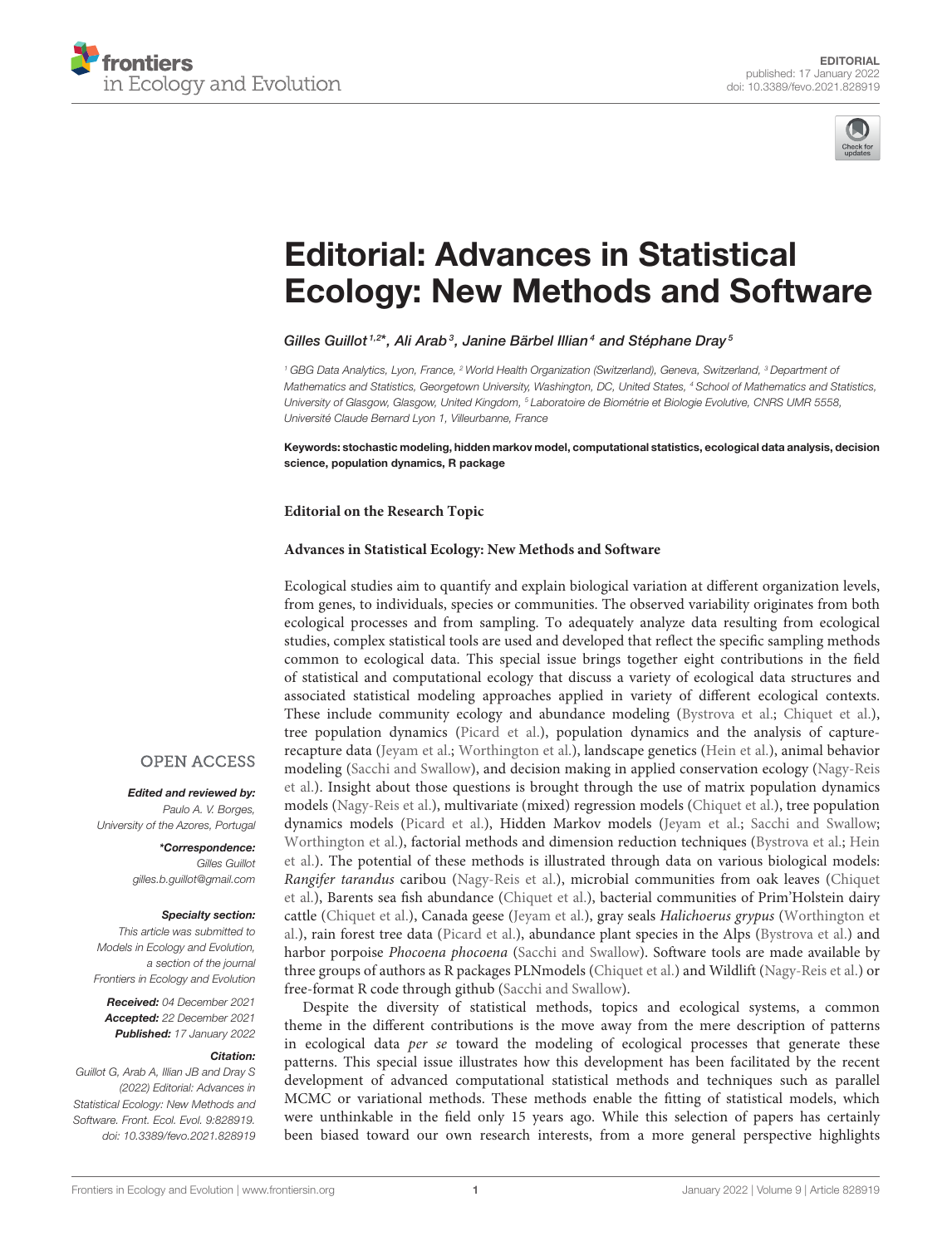



# Editorial: Advances in Statistical [Ecology: New Methods and Software](https://www.frontiersin.org/articles/10.3389/fevo.2021.828919/full)

### Gilles Guillot<sup>1,2\*</sup>, Ali Arab<sup>3</sup>, Janine Bärbel Illian<sup>4</sup> and Stéphane Dray<sup>5</sup>

<sup>1</sup> GBG Data Analytics, Lyon, France, <sup>2</sup> World Health Organization (Switzerland), Geneva, Switzerland, <sup>3</sup> Department of Mathematics and Statistics, Georgetown University, Washington, DC, United States, <sup>4</sup> School of Mathematics and Statistics, University of Glasgow, Glasgow, United Kingdom, <sup>5</sup> Laboratoire de Biométrie et Biologie Evolutive, CNRS UMR 5558, Université Claude Bernard Lyon 1, Villeurbanne, France

Keywords: stochastic modeling, hidden markov model, computational statistics, ecological data analysis, decision science, population dynamics, R package

**Editorial on the Research Topic**

#### **[Advances in Statistical Ecology: New Methods and Software](https://www.frontiersin.org/research-topics/12711/advances-in-statistical-ecology-new-methods-and-software)**

Ecological studies aim to quantify and explain biological variation at different organization levels, from genes, to individuals, species or communities. The observed variability originates from both ecological processes and from sampling. To adequately analyze data resulting from ecological studies, complex statistical tools are used and developed that reflect the specific sampling methods common to ecological data. This special issue brings together eight contributions in the field of statistical and computational ecology that discuss a variety of ecological data structures and associated statistical modeling approaches applied in variety of different ecological contexts. These include community ecology and abundance modeling [\(Bystrova et al.;](https://doi.org/10.3389/fevo.2021.601384) [Chiquet et al.\)](https://doi.org/10.3389/fevo.2021.588292), tree population dynamics [\(Picard et al.\)](https://doi.org/10.3389/fevo.2021.599200), population dynamics and the analysis of capturerecapture data [\(Jeyam et al.;](https://doi.org/10.3389/fevo.2021.598325) [Worthington et al.\)](https://doi.org/10.3389/fevo.2021.600967), landscape genetics [\(Hein et al.\)](https://doi.org/10.3389/fevo.2021.612718), animal behavior [modeling \(Sacchi and Swallow\), and decision making in applied conservation ecology \(Nagy-Reis](https://doi.org/10.3389/fevo.2020.564508) et al.). Insight about those questions is brought through the use of matrix population dynamics models [\(Nagy-Reis et al.\)](https://doi.org/10.3389/fevo.2020.564508), multivariate (mixed) regression models [\(Chiquet et al.\)](https://doi.org/10.3389/fevo.2021.588292), tree population dynamics models [\(Picard et al.\)](https://doi.org/10.3389/fevo.2021.599200), Hidden Markov models [\(Jeyam et al.;](https://doi.org/10.3389/fevo.2021.598325) [Sacchi and Swallow;](https://doi.org/10.3389/fevo.2021.623731) [Worthington et al.\)](https://doi.org/10.3389/fevo.2021.600967), factorial methods and dimension reduction techniques [\(Bystrova et al.;](https://doi.org/10.3389/fevo.2021.601384) Hein [et al.\). The potential of these methods is illustrated through data on various biological models:](https://doi.org/10.3389/fevo.2021.612718) Rangifer tarandus caribou [\(Nagy-Reis et al.\)](https://doi.org/10.3389/fevo.2020.564508), microbial communities from oak leaves (Chiquet [et al.\), Barents sea fish abundance \(Chiquet et al.\), bacterial communities of Prim'Holstein dairy](https://doi.org/10.3389/fevo.2021.588292) cattle [\(Chiquet et al.\)](https://doi.org/10.3389/fevo.2021.588292), Canada geese [\(Jeyam et al.\)](https://doi.org/10.3389/fevo.2021.598325), gray seals Halichoerus grypus (Worthington et [al.\), rain forest tree data \(Picard et al.\), abundance plant species in the Alps \(Bystrova et al.\) and](https://doi.org/10.3389/fevo.2021.600967) harbor porpoise Phocoena phocoena [\(Sacchi and Swallow\)](https://doi.org/10.3389/fevo.2021.623731). Software tools are made available by three groups of authors as R packages PLNmodels [\(Chiquet et al.\)](https://doi.org/10.3389/fevo.2021.588292) and Wildlift [\(Nagy-Reis et al.\)](https://doi.org/10.3389/fevo.2020.564508) or free-format R code through github [\(Sacchi and Swallow\)](https://doi.org/10.3389/fevo.2021.623731).

Despite the diversity of statistical methods, topics and ecological systems, a common theme in the different contributions is the move away from the mere description of patterns in ecological data per se toward the modeling of ecological processes that generate these patterns. This special issue illustrates how this development has been facilitated by the recent development of advanced computational statistical methods and techniques such as parallel MCMC or variational methods. These methods enable the fitting of statistical models, which were unthinkable in the field only 15 years ago. While this selection of papers has certainly been biased toward our own research interests, from a more general perspective highlights

## **OPEN ACCESS**

Edited and reviewed by: Paulo A. V. Borges, University of the Azores, Portugal

> \*Correspondence: Gilles Guillot [gilles.b.guillot@gmail.com](mailto:gilles.b.guillot@gmail.com)

#### Specialty section:

This article was submitted to Models in Ecology and Evolution, a section of the journal Frontiers in Ecology and Evolution

Received: 04 December 2021 Accepted: 22 December 2021 Published: 17 January 2022

#### Citation:

Guillot G, Arab A, Illian JB and Dray S (2022) Editorial: Advances in Statistical Ecology: New Methods and Software. Front. Ecol. Evol. 9:828919. doi: [10.3389/fevo.2021.828919](https://doi.org/10.3389/fevo.2021.828919)